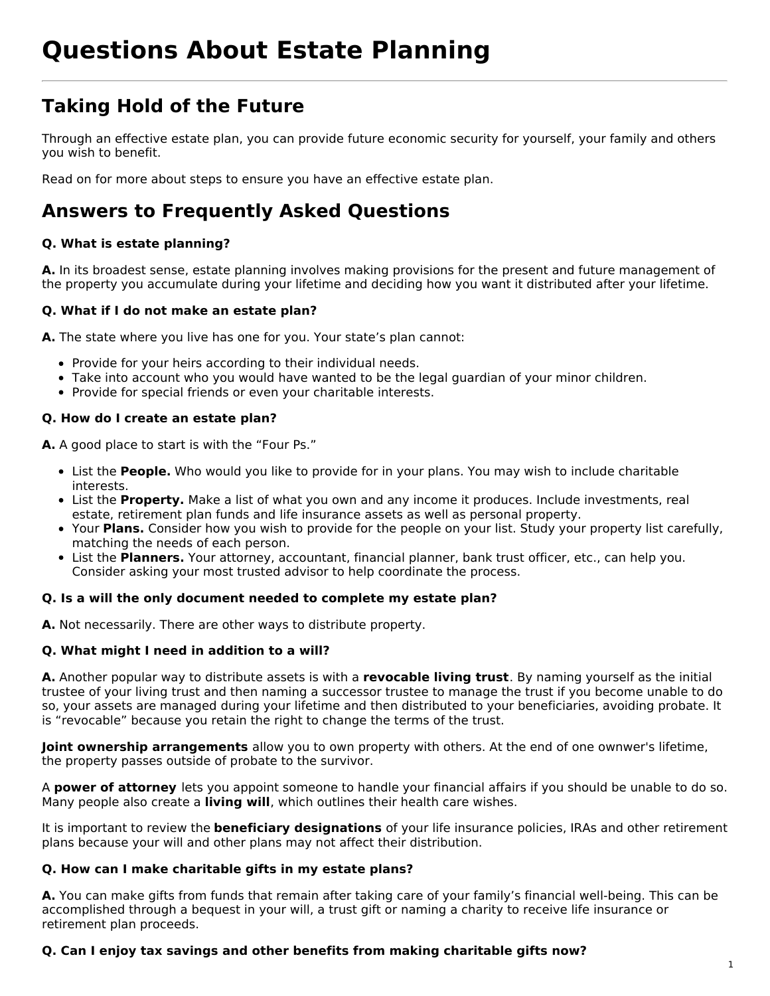# **Questions About Estate Planning**

### **Taking Hold of the Future**

Through an effective estate plan, you can provide future economic security for yourself, your family and others you wish to benefit.

Read on for more about steps to ensure you have an effective estate plan.

### **Answers to Frequently Asked Questions**

#### **Q. What is estate planning?**

**A.** In its broadest sense, estate planning involves making provisions for the present and future management of the property you accumulate during your lifetime and deciding how you want it distributed after your lifetime.

#### **Q. What if I do not make an estate plan?**

**A.** The state where you live has one for you. Your state's plan cannot:

- Provide for your heirs according to their individual needs.
- Take into account who you would have wanted to be the legal guardian of your minor children.
- Provide for special friends or even your charitable interests.

#### **Q. How do I create an estate plan?**

**A.** A good place to start is with the "Four Ps."

- List the **People.** Who would you like to provide for in your plans. You may wish to include charitable interests.
- List the **Property.** Make a list of what you own and any income it produces. Include investments, real estate, retirement plan funds and life insurance assets as well as personal property.
- Your **Plans.** Consider how you wish to provide for the people on your list. Study your property list carefully, matching the needs of each person.
- List the **Planners.** Your attorney, accountant, financial planner, bank trust officer, etc., can help you. Consider asking your most trusted advisor to help coordinate the process.

#### **Q. Is a will the only document needed to complete my estate plan?**

**A.** Not necessarily. There are other ways to distribute property.

#### **Q. What might I need in addition to a will?**

**A.** Another popular way to distribute assets is with a **revocable living trust**. By naming yourself as the initial trustee of your living trust and then naming a successor trustee to manage the trust if you become unable to do so, your assets are managed during your lifetime and then distributed to your beneficiaries, avoiding probate. It is "revocable" because you retain the right to change the terms of the trust.

**Joint ownership arrangements** allow you to own property with others. At the end of one ownwer's lifetime, the property passes outside of probate to the survivor.

A **power of attorney** lets you appoint someone to handle your financial affairs if you should be unable to do so. Many people also create a **living will**, which outlines their health care wishes.

It is important to review the **beneficiary designations** of your life insurance policies, IRAs and other retirement plans because your will and other plans may not affect their distribution.

#### **Q. How can I make charitable gifts in my estate plans?**

**A.** You can make gifts from funds that remain after taking care of your family's financial well-being. This can be accomplished through a bequest in your will, a trust gift or naming a charity to receive life insurance or retirement plan proceeds.

#### **Q. Can I enjoy tax savings and other benefits from making charitable gifts now?**